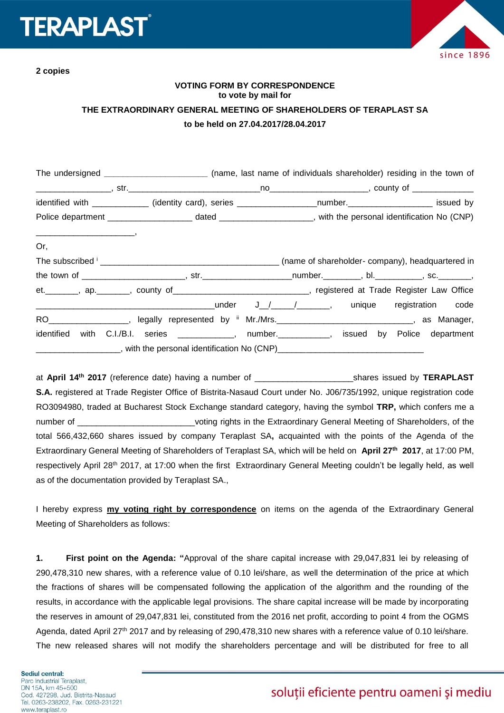# **ERAPLAS**

**2 copies**



### **VOTING FORM BY CORRESPONDENCE to vote by mail for THE EXTRAORDINARY GENERAL MEETING OF SHAREHOLDERS OF TERAPLAST SA to be held on 27.04.2017/28.04.2017**

|                                        | The undersigned _____________________________ (name, last name of individuals shareholder) residing in the town of |  |  |
|----------------------------------------|--------------------------------------------------------------------------------------------------------------------|--|--|
|                                        |                                                                                                                    |  |  |
|                                        | identified with _____________ (identity card), series __________________number.____________________ issued by      |  |  |
|                                        |                                                                                                                    |  |  |
| $\overbrace{\hspace{25mm}}^{n}$<br>Or, |                                                                                                                    |  |  |
|                                        |                                                                                                                    |  |  |
|                                        |                                                                                                                    |  |  |
|                                        | et. ________, ap. ________, county of ________________________________, registered at Trade Register Law Office    |  |  |
|                                        |                                                                                                                    |  |  |
|                                        | RO___________________, legally represented by ii Mr./Mrs.______________________________, as Manager,               |  |  |
|                                        | identified with C.I./B.I. series _____________, number.___________, issued by Police department                    |  |  |
|                                        |                                                                                                                    |  |  |

at **April 14 th 2017** (reference date) having a number of \_\_\_\_\_\_\_\_\_\_\_\_\_\_\_\_\_\_\_\_\_shares issued by **TERAPLAST S.A.** registered at Trade Register Office of Bistrita-Nasaud Court under No. J06/735/1992, unique registration code RO3094980, traded at Bucharest Stock Exchange standard category, having the symbol **TRP,** which confers me a number of \_\_\_\_\_\_\_\_\_\_\_\_\_\_\_\_\_\_\_\_\_\_\_\_\_\_\_\_voting rights in the Extraordinary General Meeting of Shareholders, of the total 566,432,660 shares issued by company Teraplast SA**,** acquainted with the points of the Agenda of the Extraordinary General Meeting of Shareholders of Teraplast SA, which will be held on **April 27 th 2017**, at 17:00 PM, respectively April 28<sup>th</sup> 2017, at 17:00 when the first Extraordinary General Meeting couldn't be legally held, as well as of the documentation provided by Teraplast SA.,

I hereby express **my voting right by correspondence** on items on the agenda of the Extraordinary General Meeting of Shareholders as follows:

**1. First point on the Agenda: "**Approval of the share capital increase with 29,047,831 lei by releasing of 290,478,310 new shares, with a reference value of 0.10 lei/share, as well the determination of the price at which the fractions of shares will be compensated following the application of the algorithm and the rounding of the results, in accordance with the applicable legal provisions. The share capital increase will be made by incorporating the reserves in amount of 29,047,831 lei, constituted from the 2016 net profit, according to point 4 from the OGMS Agenda, dated April 27<sup>th</sup> 2017 and by releasing of 290,478,310 new shares with a reference value of 0.10 lei/share. The new released shares will not modify the shareholders percentage and will be distributed for free to all

## soluții eficiente pentru oameni și mediu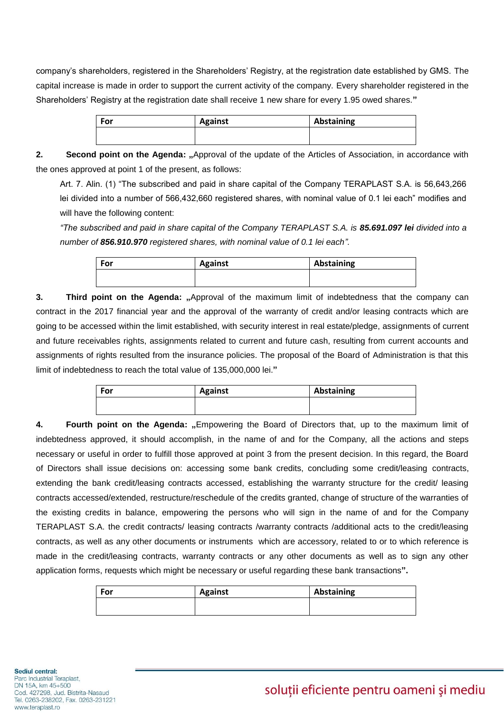company's shareholders, registered in the Shareholders' Registry, at the registration date established by GMS. The capital increase is made in order to support the current activity of the company. Every shareholder registered in the Shareholders' Registry at the registration date shall receive 1 new share for every 1.95 owed shares.**"**

| For | <b>Against</b> | Abstaining |
|-----|----------------|------------|
|     |                |            |
|     |                |            |

**2. Second point on the Agenda:** ..Approval of the update of the Articles of Association, in accordance with the ones approved at point 1 of the present, as follows:

Art. 7. Alin. (1) "The subscribed and paid in share capital of the Company TERAPLAST S.A. is 56,643,266 lei divided into a number of 566,432,660 registered shares, with nominal value of 0.1 lei each" modifies and will have the following content:

*"The subscribed and paid in share capital of the Company TERAPLAST S.A. is 85.691.097 lei divided into a number of 856.910.970 registered shares, with nominal value of 0.1 lei each".*

| For | <b>Against</b> | Abstaining |  |
|-----|----------------|------------|--|
|     |                |            |  |
|     |                |            |  |

**3. Third point on the Agenda: "**Approval of the maximum limit of indebtedness that the company can contract in the 2017 financial year and the approval of the warranty of credit and/or leasing contracts which are going to be accessed within the limit established, with security interest in real estate/pledge, assignments of current and future receivables rights, assignments related to current and future cash, resulting from current accounts and assignments of rights resulted from the insurance policies. The proposal of the Board of Administration is that this limit of indebtedness to reach the total value of 135,000,000 lei.**"**

| For | <b>Against</b> | Abstaining |
|-----|----------------|------------|
|     |                |            |
|     |                |            |

**4. Fourth point on the Agenda:** "Empowering the Board of Directors that, up to the maximum limit of indebtedness approved, it should accomplish, in the name of and for the Company, all the actions and steps necessary or useful in order to fulfill those approved at point 3 from the present decision. In this regard, the Board of Directors shall issue decisions on: accessing some bank credits, concluding some credit/leasing contracts, extending the bank credit/leasing contracts accessed, establishing the warranty structure for the credit/ leasing contracts accessed/extended, restructure/reschedule of the credits granted, change of structure of the warranties of the existing credits in balance, empowering the persons who will sign in the name of and for the Company TERAPLAST S.A. the credit contracts/ leasing contracts /warranty contracts /additional acts to the credit/leasing contracts, as well as any other documents or instruments which are accessory, related to or to which reference is made in the credit/leasing contracts, warranty contracts or any other documents as well as to sign any other application forms, requests which might be necessary or useful regarding these bank transactions**".**

| For | <b>Against</b> | Abstaining |
|-----|----------------|------------|
|     |                |            |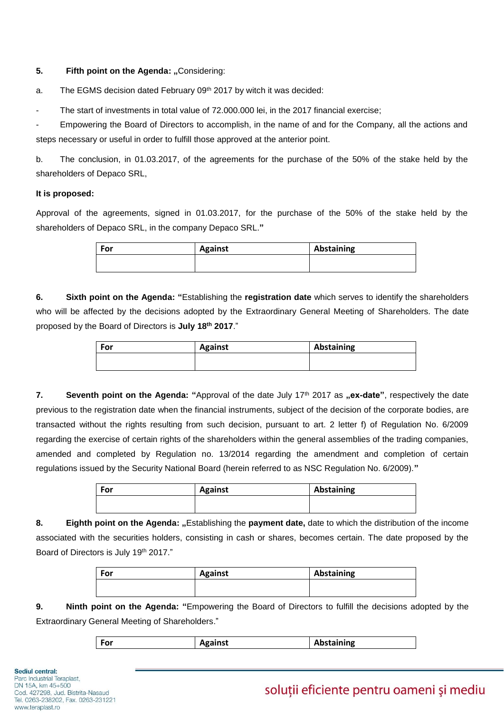#### **5. Fifth point on the Agenda: "Considering:**

a. The EGMS decision dated February 09<sup>th</sup> 2017 by witch it was decided:

The start of investments in total value of 72,000,000 lei, in the 2017 financial exercise;

Empowering the Board of Directors to accomplish, in the name of and for the Company, all the actions and steps necessary or useful in order to fulfill those approved at the anterior point.

b. The conclusion, in 01.03.2017, of the agreements for the purchase of the 50% of the stake held by the shareholders of Depaco SRL,

#### **It is proposed:**

Approval of the agreements, signed in 01.03.2017, for the purchase of the 50% of the stake held by the shareholders of Depaco SRL, in the company Depaco SRL.**"**

| For | <b>Against</b> | Abstaining |
|-----|----------------|------------|
|     |                |            |

**6. Sixth point on the Agenda: "**Establishing the **registration date** which serves to identify the shareholders who will be affected by the decisions adopted by the Extraordinary General Meeting of Shareholders. The date proposed by the Board of Directors is **July 18th 2017**."

| For | <b>Against</b> | Abstaining |
|-----|----------------|------------|
|     |                |            |
|     |                |            |

7. **Seventh point on the Agenda:** "Approval of the date July 17<sup>th</sup> 2017 as "ex-date", respectively the date previous to the registration date when the financial instruments, subject of the decision of the corporate bodies, are transacted without the rights resulting from such decision, pursuant to art. 2 letter f) of Regulation No. 6/2009 regarding the exercise of certain rights of the shareholders within the general assemblies of the trading companies, amended and completed by Regulation no. 13/2014 regarding the amendment and completion of certain regulations issued by the Security National Board (herein referred to as NSC Regulation No. 6/2009).**"**

| For | <b>Against</b> | Abstaining |
|-----|----------------|------------|
|     |                |            |

8. **Eighth point on the Agenda:** "Establishing the **payment date**, date to which the distribution of the income associated with the securities holders, consisting in cash or shares, becomes certain. The date proposed by the Board of Directors is July 19<sup>th</sup> 2017."

| For | <b>Against</b> | Abstaining |
|-----|----------------|------------|
|     |                |            |

**9. Ninth point on the Agenda: "**Empowering the Board of Directors to fulfill the decisions adopted by the Extraordinary General Meeting of Shareholders."

| <b>Against</b><br>For | Abstaining |
|-----------------------|------------|
|-----------------------|------------|